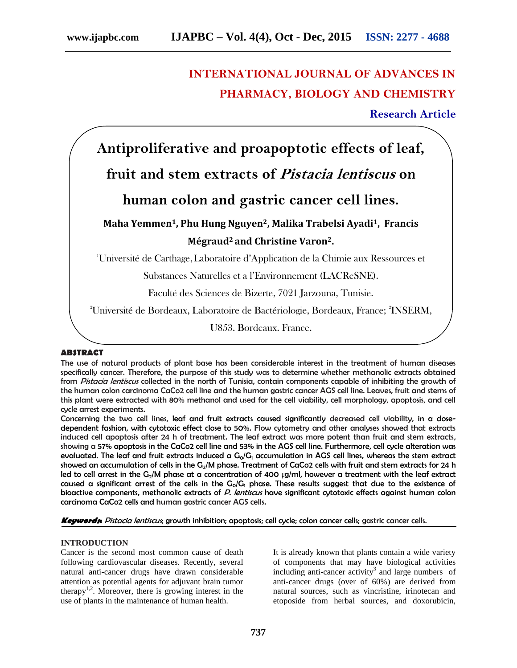# **INTERNATIONAL JOURNAL OF ADVANCES IN PHARMACY, BIOLOGY AND CHEMISTRY**

**Research Article**

**Antiproliferative and proapoptotic effects of leaf,**

**fruit and stem extracts of** *Pistacia lentiscus* **on**

### **human colon and gastric cancer cell lines.**

## **Maha Yemmen1, Phu Hung Nguyen2, Malika Trabelsi Ayadi1, Francis Mégraud<sup>2</sup> and Christine Varon2.**

<sup>1</sup>Université de Carthage,Laboratoire d'Application de la Chimie aux Ressources et

Substances Naturelles et a l'Environnement (LACReSNE).

Faculté des Sciences de Bizerte, 7021 Jarzouna, Tunisie.

<sup>2</sup>Université de Bordeaux, Laboratoire de Bactériologie, Bordeaux, France; <sup>2</sup>INSERM,

U853, Bordeaux, France.

### **ABSTRACT**

The use of natural products of plant base has been considerable interest in the treatment of human diseases specifically cancer. Therefore, the purpose of this study was to determine whether methanolic extracts obtained from *Pistacia lentiscus* collected in the north of Tunisia, contain components capable of inhibiting the growth of the human colon carcinoma CaCo2 cell line and the human gastric cancer AGS cell line. Leaves, fruit and stems of this plant were extracted with 80% methanol and used for the cell viability, cell morphology, apoptosis, and cell cycle arrest experiments.

Concerning the two cell lines, leaf and fruit extracts caused significantly decreased cell viability, in a dose dependent fashion, with cytotoxic effect close to 50%. Flow cytometry and other analyses showed that extracts induced cell apoptosis after 24 h of treatment. The leaf extract was more potent than fruit and stem extracts, showing a 57% apoptosis in the CaCo2 cell line and 53% in the AGS cell line. Furthermore, cell cycle alteration was evaluated. The leaf and fruit extracts induced a  $G_0/G_1$  accumulation in AGS cell lines, whereas the stem extract showed an accumulation of cells in the G<sub>2</sub>/M phase. Treatment of CaCo2 cells with fruit and stem extracts for 24 h led to cell arrest in the G<sub>2</sub>/M phase at a concentration of 400  $\mu$ g/ml, however a treatment with the leaf extract caused a significant arrest of the cells in the  $G_0/G_1$  phase. These results suggest that due to the existence of bioactive components, methanolic extracts of P. lentiscus have significant cytotoxic effects against human colon carcinoma CaCo2 cells and human gastric cancer AGS cells.

*Keywords***:** *Pistacia lentiscus*; growth inhibition; apoptosis; cell cycle; colon cancer cells; gastric cancer cells.

#### **INTRODUCTION**

Cancer is the second most common cause of death following cardiovascular diseases. Recently, several natural anti-cancer drugs have drawn considerable attention as potential agents for adjuvant brain tumor therapy<sup>1,2</sup>. Moreover, there is growing interest in the use of plants in the maintenance of human health.

It is already known that plants contain a wide variety of components that may have biological activities including anti-cancer activity<sup>3</sup> and large numbers of anti-cancer drugs (over of 60%) are derived from natural sources, such as vincristine, irinotecan and etoposide from herbal sources, and doxorubicin,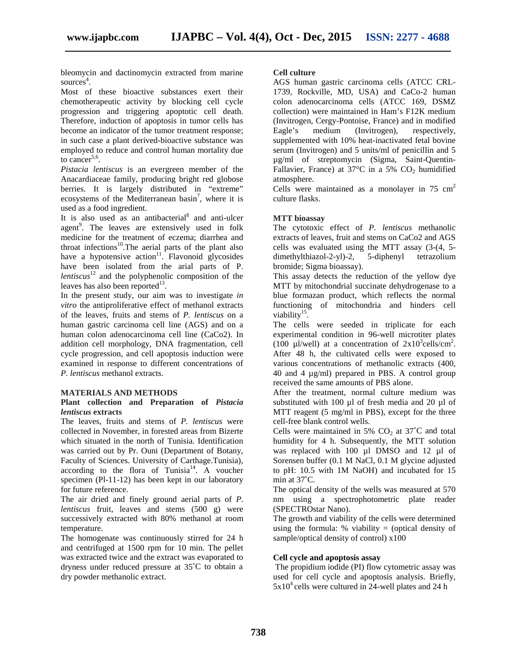bleomycin and dactinomycin extracted from marine sources<sup>4</sup>.

Most of these bioactive substances exert their chemotherapeutic activity by blocking cell cycle progression and triggering apoptotic cell death. Therefore, induction of apoptosis in tumor cells has become an indicator of the tumor treatment response; in such case a plant derived-bioactive substance was employed to reduce and control human mortality due to cancer<sup>5,6</sup>.

*Pistacia lentiscus* is an evergreen member of the Anacardiaceae family, producing bright red globose berries. It is largely distributed in "extreme" ecosystems of the Mediterranean basin<sup>7</sup>, where it is used as a food ingredient.

It is also used as an antibacterial<sup>8</sup> and anti-ulcer agent<sup>9</sup>. The leaves are extensively used in folk medicine for the treatment of eczema; diarrhea and throat infections<sup>10</sup>. The aerial parts of the plant also have a hypotensive action<sup>11</sup>. Flavonoid glycosides have been isolated from the arial parts of P. *lentiscus*<sup>12</sup> and the polyphenolic composition of the leaves has also been reported $^{13}$ .

In the present study, our aim was to investigate *in vitro* the antiproliferative effect of methanol extracts of the leaves, fruits and stems of *P. lentiscus* on a human gastric carcinoma cell line (AGS) and on a human colon adenocarcinoma cell line (CaCo2). In addition cell morphology, DNA fragmentation, cell cycle progression, and cell apoptosis induction were examined in response to different concentrations of *P. lentiscus* methanol extracts.

#### **MATERIALS AND METHODS**

#### **Plant collection and Preparation of** *Pistacia lentiscus* **extracts**

The leaves, fruits and stems of *P. lentiscus* were collected in November, in forested areas from Bizerte which situated in the north of Tunisia. Identification was carried out by Pr. Ouni (Department of Botany, Faculty of Sciences. University of Carthage.Tunisia), according to the flora of Tunisia<sup>14</sup>. A voucher specimen (Pl-11-12) has been kept in our laboratory for future reference.

The air dried and finely ground aerial parts of *P. lentiscus* fruit, leaves and stems (500 g) were successively extracted with 80% methanol at room temperature.

The homogenate was continuously stirred for 24 h and centrifuged at 1500 rpm for 10 min. The pellet was extracted twice and the extract was evaporated to dryness under reduced pressure at 35˚C to obtain a dry powder methanolic extract.

#### **Cell culture**

AGS human gastric carcinoma cells (ATCC CRL- 1739, Rockville, MD, USA) and CaCo-2 human colon adenocarcinoma cells (ATCC 169, DSMZ collection) were maintained in Ham's F12K medium (Invitrogen, Cergy-Pontoise, France) and in modified Eagle's medium (Invitrogen), respectively, supplemented with 10% heat-inactivated fetal bovine serum (Invitrogen) and 5 units/ml of penicillin and 5 µg/ml of streptomycin (Sigma, Saint-Quentin- Fallavier, France) at  $37^{\circ}$ C in a 5% CO<sub>2</sub> humidified atmosphere.

Cells were maintained as a monolayer in  $75 \text{ cm}^2$ culture flasks.

#### **MTT bioassay**

The cytotoxic effect of *P. lentiscus* methanolic extracts of leaves, fruit and stems on CaCo2 and AGS cells was evaluated using the MTT assay (3-(4, 5 dimethylthiazol-2-yl)-2, 5-diphenyl tetrazolium bromide; Sigma bioassay).

This assay detects the reduction of the yellow dye MTT by mitochondrial succinate dehydrogenase to a blue formazan product, which reflects the normal functioning of mitochondria and hinders cell viability<sup>15</sup>.

The cells were seeded in triplicate for each experimental condition in 96-well microtiter plates (100 µl/well) at a concentration of  $2x10^3$ cells/cm<sup>2</sup>. After 48 h, the cultivated cells were exposed to various concentrations of methanolic extracts (400, 40 and 4 µg/ml) prepared in PBS. A control group received the same amounts of PBS alone.

After the treatment, normal culture medium was substituted with 100 µl of fresh media and 20 µl of MTT reagent (5 mg/ml in PBS), except for the three cell-free blank control wells.

Cells were maintained in 5%  $CO<sub>2</sub>$  at 37°C and total humidity for 4 h. Subsequently, the MTT solution was replaced with 100 ul DMSO and 12 ul of Sorensen buffer (0.1 M NaCl, 0.1 M glycine adjusted to pH: 10.5 with 1M NaOH) and incubated for 15 min at 37˚C.

The optical density of the wells was measured at 570 nm using a spectrophotometric plate reader (SPECTROstar Nano).

The growth and viability of the cells were determined using the formula:  $%$  viability = (optical density of sample/optical density of control) x100

#### **Cell cycle and apoptosis assay**

The propidium iodide (PI) flow cytometric assay was used for cell cycle and apoptosis analysis. Briefly,  $5x10^4$  cells were cultured in 24-well plates and 24 h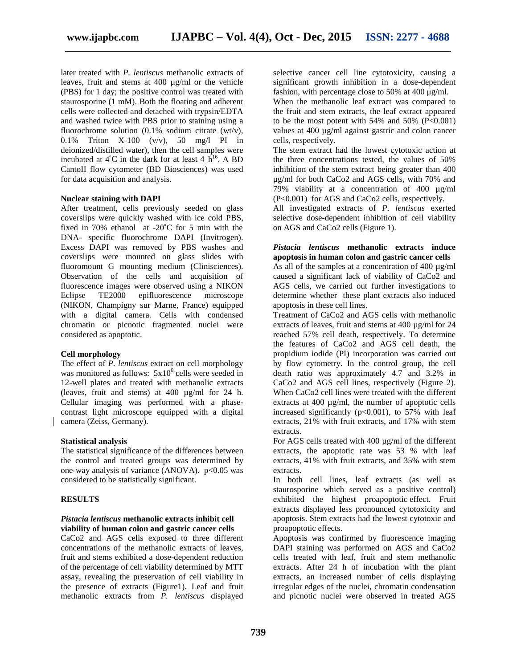later treated with *P. lentiscus* methanolic extracts of leaves, fruit and stems at 400 µg/ml or the vehicle (PBS) for 1 day; the positive control was treated with staurosporine (1 mM). Both the floating and adherent cells were collected and detached with trypsin/EDTA and washed twice with PBS prior to staining using a fluorochrome solution  $(0.1\% \text{ sodium citrate } (wt/v))$ , 0.1% Triton X-100 (v/v), 50 mg/l PI in deionized/distilled water), then the cell samples were incubated at  $4^{\circ}$ C in the dark for at least  $4 \text{ h}^{16}$ . A BD the CantoII flow cytometer (BD Biosciences) was used for data acquisition and analysis.

#### **Nuclear staining with DAPI**

After treatment, cells previously seeded on glass coverslips were quickly washed with ice cold PBS, fixed in 70% ethanol at -20˚C for 5 min with the DNA- specific fluorochrome DAPI (Invitrogen). Excess DAPI was removed by PBS washes and coverslips were mounted on glass slides with fluoromount G mounting medium (Clinisciences). Observation of the cells and acquisition of fluorescence images were observed using a NIKON Eclipse TE2000 epifluorescence microscope (NIKON, Champigny sur Marne, France) equipped with a digital camera. Cells with condensed chromatin or picnotic fragmented nuclei were considered as apoptotic.

#### **Cell morphology**

The effect of *P. lentiscus* extract on cell morphology was monitored as follows:  $5x10^6$  cells were seeded in 12-well plates and treated with methanolic extracts (leaves, fruit and stems) at 400 µg/ml for 24 h. Cellular imaging was performed with a phase contrast light microscope equipped with a digital camera (Zeiss, Germany).

#### **Statistical analysis**

The statistical significance of the differences between the control and treated groups was determined by one-way analysis of variance (ANOVA).  $p<0.05$  was considered to be statistically significant.

#### **RESULTS**

#### *Pistacia lentiscus* **methanolic extracts inhibit cell viability of human colon and gastric cancer cells**

CaCo2 and AGS cells exposed to three different concentrations of the methanolic extracts of leaves, fruit and stems exhibited a dose-dependent reduction of the percentage of cell viability determined by MTT assay, revealing the preservation of cell viability in the presence of extracts (Figure1). Leaf and fruit methanolic extracts from *P. lentiscus* displayed

selective cancer cell line cytotoxicity, causing a significant growth inhibition in a dose-dependent fashion, with percentage close to 50% at 400 μg/ml.

When the methanolic leaf extract was compared to the fruit and stem extracts, the leaf extract appeared to be the most potent with  $54\%$  and  $50\%$  (P<0.001) values at 400 µg/ml against gastric and colon cancer cells, respectively.

The stem extract had the lowest cytotoxic action at the three concentrations tested, the values of 50% inhibition of the stem extract being greater than  $400$ μg/ml for both CaCo2 and AGS cells, with 70% and 79% viability at a concentration of 400 µg/ml (P<0.001) for AGS and CaCo2 cells, respectively.

All investigated extracts of *P*. *lentiscus* exerted selective dose-dependent inhibition of cell viability on AGS and CaCo2 cells (Figure 1).

#### *Pistacia lentiscus* **methanolic extracts induce apoptosis in human colon and gastric cancer cells**

As all of the samples at a concentration of 400  $\mu$ g/ml caused a significant lack of viability of CaCo2 and AGS cells, we carried out further investigations to determine whether these plant extracts also induced apoptosis in these cell lines.

Treatment of CaCo2 and AGS cells with methanolic extracts of leaves, fruit and stems at 400 µg/ml for 24 reached 57% cell death, respectively. To determine the features of CaCo2 and AGS cell death, the propidium iodide (PI) incorporation was carried out by flow cytometry. In the control group, the cell death ratio was approximately 4.7 and 3.2% in CaCo2 and AGS cell lines, respectively (Figure 2). When CaCo2 cell lines were treated with the different extracts at 400 µg/ml, the number of apoptotic cells increased significantly ( $p<0.001$ ), to 57% with leaf extracts, 21% with fruit extracts, and 17% with stem extracts.

For AGS cells treated with 400 µg/ml of the different extracts, the apoptotic rate was 53 % with leaf extracts, 41% with fruit extracts, and 35% with stem extracts.

In both cell lines, leaf extracts (as well as staurosporine which served as a positive control) exhibited the highest proapoptotic effect. Fruit extracts displayed less pronounced cytotoxicity and apoptosis. Stem extracts had the lowest cytotoxic and proapoptotic effects.

Apoptosis was confirmed by fluorescence imaging DAPI staining was performed on AGS and CaCo2 cells treated with leaf, fruit and stem methanolic extracts. After 24 h of incubation with the plant extracts, an increased number of cells displaying irregular edges of the nuclei, chromatin condensation and picnotic nuclei were observed in treated AGS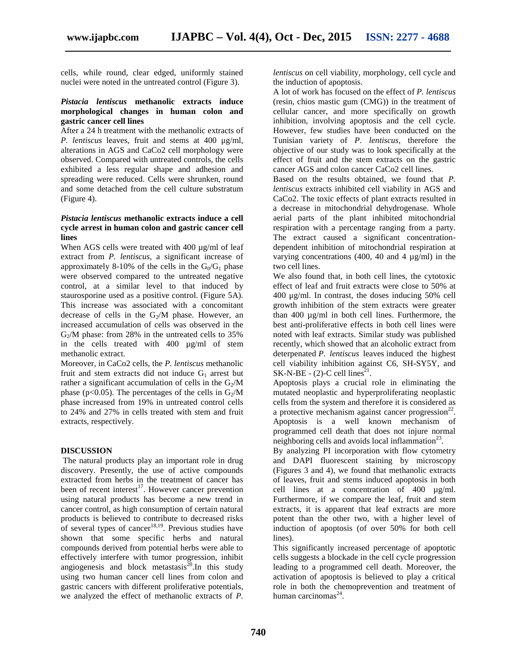cells, while round, clear edged, uniformly stained nuclei were noted in the untreated control (Figure 3).

#### *Pistacia lentiscus* **methanolic extracts induce morphological changes in human colon and gastric cancer cell lines**

After a 24 h treatment with the methanolic extracts of *P. lentiscus* leaves, fruit and stems at 400 μg/ml, alterations in AGS and CaCo2 cell morphology were observed. Compared with untreated controls, the cells exhibited a less regular shape and adhesion and spreading were reduced. Cells were shrunken, round and some detached from the cell culture substratum (Figure 4).

#### *Pistacia lentiscus* **methanolic extracts induce a cell cycle arrest in human colon and gastric cancer cell lines**

When AGS cells were treated with 400  $\mu$ g/ml of leaf extract from *P. lentiscus*, a significant increase of approximately 8-10% of the cells in the  $G_0/G_1$  phase were observed compared to the untreated negative control, at a similar level to that induced by staurosporine used as a positive control. (Figure 5A). This increase was associated with a concomitant decrease of cells in the  $G_2/M$  phase. However, an increased accumulation of cells was observed in the  $G<sub>2</sub>/M$  phase: from 28% in the untreated cells to 35% in the cells treated with 400 µg/ml of stem methanolic extract.

Moreover, in CaCo2 cells, the *P. lentiscus* methanolic fruit and stem extracts did not induce  $G_1$  arrest but rather a significant accumulation of cells in the  $G_2/M$ phase (p<0.05). The percentages of the cells in  $G_2/M$ phase increased from 19% in untreated control cells to 24% and 27% in cells treated with stem and fruit extracts, respectively.

#### **DISCUSSION**

The natural products play an important role in drug discovery. Presently, the use of active compounds extracted from herbs in the treatment of cancer has been of recent interest<sup>17</sup>. However cancer prevention using natural products has become a new trend in cancer control, as high consumption of certain natural products is believed to contribute to decreased risks of several types of cancer<sup>18,19</sup>. Previous studies have shown that some specific herbs and natural compounds derived from potential herbs were able to effectively interfere with tumor progression, inhibit angiogenesis and block metastasis $^{20}$ . In this study using two human cancer cell lines from colon and gastric cancers with different proliferative potentials, we analyzed the effect of methanolic extracts of *P.*

*lentiscus* on cell viability, morphology, cell cycle and the induction of apoptosis.

A lot of work has focused on the effect of *P. lentiscus* (resin, chios mastic gum (CMG)) in the treatment of cellular cancer, and more specifically on growth inhibition, involving apoptosis and the cell cycle. However, few studies have been conducted on the Tunisian variety of *P. lentiscus*, therefore the objective of our study was to look specifically at the effect of fruit and the stem extracts on the gastric cancer AGS and colon cancer CaCo2 cell lines.

Based on the results obtained, we found that *P. lentiscus* extracts inhibited cell viability in AGS and CaCo2. The toxic effects of plant extracts resulted in a decrease in mitochondrial dehydrogenase. Whole aerial parts of the plant inhibited mitochondrial respiration with a percentage ranging from a party. The extract caused a significant concentration dependent inhibition of mitochondrial respiration at varying concentrations (400, 40 and 4  $\mu$ g/ml) in the two cell lines.

We also found that, in both cell lines, the cytotoxic effect of leaf and fruit extracts were close to 50% at 400 μg/ml. In contrast, the doses inducing 50% cell growth inhibition of the stem extracts were greater than 400 µg/ml in both cell lines. Furthermore, the best anti-proliferative effects in both cell lines were noted with leaf extracts. Similar study was published recently, which showed that an alcoholic extract from deterpenated *P. lentiscus* leaves induced the highest cell viability inhibition against C6, SH-SY5Y, and  $SK-N-BE - (2)-C$  cell lines<sup>21</sup>.

Apoptosis plays a crucial role in eliminating the mutated neoplastic and hyperproliferating neoplastic cells from the system and therefore it is considered as a protective mechanism against cancer progression $^{22}$ . Apoptosis is a well known mechanism of programmed cell death that does not injure normal neighboring cells and avoids local inflammation $^{23}$ .

By analyzing PI incorporation with flow cytometry and DAPI fluorescent staining by microscopy (Figures 3 and 4), we found that methanolic extracts of leaves, fruit and stems induced apoptosis in both cell lines at a concentration of 400 µg/ml. Furthermore, if we compare the leaf, fruit and stem extracts, it is apparent that leaf extracts are more potent than the other two, with a higher level of induction of apoptosis (of over 50% for both cell lines).

This significantly increased percentage of apoptotic cells suggests a blockade in the cell cycle progression leading to a programmed cell death. Moreover, the activation of apoptosis is believed to play a critical role in both the chemoprevention and treatment of human carcinomas $^{24}$ .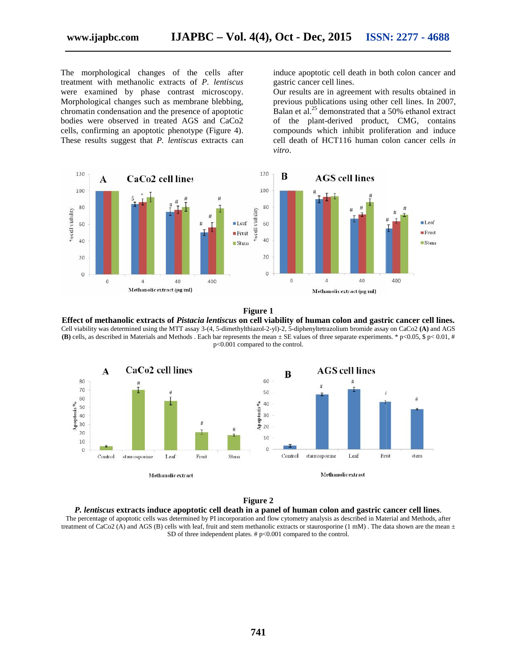The morphological changes of the cells after<br>treatment with methanolic extracts of *P*. lentiscus treatment with methanolic extracts of *P. lentiscus* were examined by phase contrast microscopy. Morphological changes such as membrane blebbing, chromatin condensation and the presence of apoptotic bodies were observed in treated AGS and CaCo2 cells, confirming an apoptotic phenotype (Figure 4). These results suggest that *P. lentiscus* extracts can Morphological changes such as membrane blebbing,<br>chromatin condensation and the presence of apoptotic<br>bodies were observed in treated AGS and CaCo2<br>cells, confirming an apoptotic phenotype (Figure 4).

induce apoptotic cell death in both colon cancer and gastric cancer cell lines. induce apoptotic cell death in both colon cancer and<br>gastric cancer cell lines.<br>Our results are in agreement with results obtained in

previous publications using other cell lines. In 2007, Balan et al. $^{25}$  demonstrated that a 50% ethanol extract Balan et al.<sup>25</sup> demonstrated that a 50% ethanol extract<br>of the plant-derived product, CMG, contains compounds which inhibit proliferation and induce compounds which inhibit proliferation and induce<br>cell death of HCT116 human colon cancer cells *in vitro*. *vitro*.



#### **Figure 1**

**Effect of methanolic extracts of** *Pistacia lentiscus* **on cell viability of human colon and gastric cancer cell lines. of***lentiscus***viability of** Cell viability was determined using the MTT assay 3-(4, 5-dimethylthiazol-2-yl)-2, 5-diphenyltetrazolium bromide assay on CaCo2 **(A)** and AGS Cell viability was determined using the MTT assay 3-(4, 5-dimethylthiazol-2-yl)-2, 5-diphenyltetrazolium bromide assay on CaCo2 (A) and AGS<br>(B) cells, as described in Materials and Methods . Each bar represents the mean ± p<0.001 compared to the control.



#### **Figure 2**



The percentage of apoptotic cells was determined by PI incorporation and flow cytometry analysis as described in Material and Methods, after treatment of CaCo2 (A) and AGS (B) cells with leaf, fruit and stem methanolic extracts or staurosporine  $(1 \text{ mM})$ . The data shown are the mean  $\pm$ SD of three independent plates.  $#p<0.001$  compared to the control. entage of apoptotic cells was determined by PI incorporation and flow cytometry analysis as described in Material and Methods, of CaCo2 (A) and AGS (B) cells with leaf, fruit and stem methanolic extracts or staurosporine (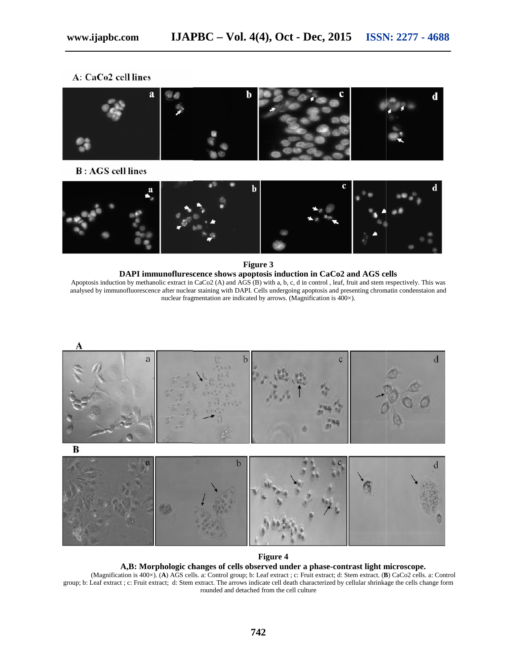#### A: CaCo2 cell lines



**B**: AGS cell lines



**Figure 3**

#### **DAPI immunoflurescence shows apoptosis induction in CaCo2 and AGS cells cells**Apoptosis induction by methanolic extract in CaCo2 (A) and  $\widehat{AGS}$  (B) with a, b, c, d in control, leaf, fruit and stem respectively. This was analysed by immunofluorescence after nuclear staining with DAPI. Cells undergoing apoptosis and presenting chromatin condenstaion and nuclear fragmentation are indicated by arrows. (Magnification is 400×). methanolic extract in CaCo2 (A) and AGS (B) with a, b, c, d in control , leaf, fruit and stem prescence after nuclear staining with DAPI. Cells undergoing apoptosis and presenting chron nuclear fragmentation are indicated



#### **Figure 4**

#### **A,B: Morphologic changes of cells observed under a phase-contrast light microscope. of cells undermicroscope.**

(Magnification is 400×). (**A**) AGS cells. a: Control group; b: Leaf extract ; c: Fruit extract; d: Stem extract. (**B**) CaCo2 cells. a: Control group; b: Leaf extract ; c: Fruit extract; d: Stem extract. The arrows indicate cell death characterized by cellular shrinkage the cells change form rounded and detached from the cell culture gnification is 400×). (**A**) AGS cells. a: Control group; b: Leaf extract; c: Fruit extract; d: Stem extract; d: Stem extract. The arrows indicate cell death characterized by cellular shrinkage the rounded and detached from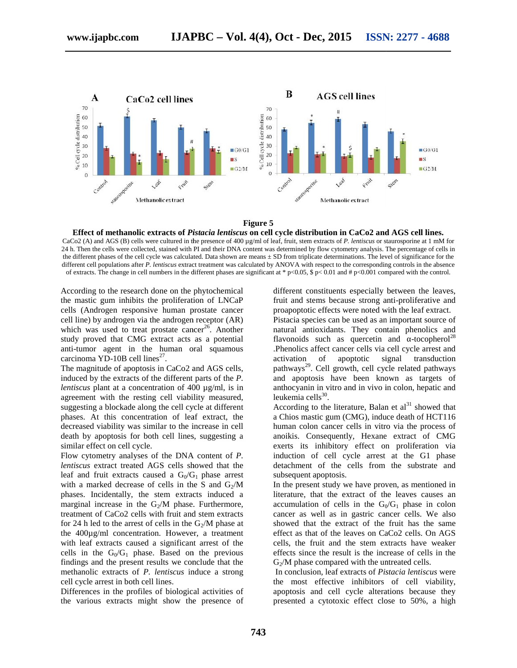

**Figure 5**

**Effect of methanolic extracts of** *Pistacia lentiscus* **on cell cycle distribution in CaCo2 and AGS cell lines.** CaCo2 (A) and AGS (B) cells were cultured in the presence of 400 µg/ml of leaf, fruit, stem extracts of *P. lentiscus* or staurosporine at 1 mM for 24 h. Then the cells were collected, stained with PI and their DNA content was determined by flow cytometry analysis. The percentage of cells in the different phases of the cell cycle was calculated. Data shown are means  $\pm$  SD from triplicate determinations. The level of significance for the different cell populations after *P. lentiscus* extract treatment was calculated by ANOVA with respect to the corresponding controls in the absence of extracts. The change in cell numbers in the different phases are significant at \* p<0.05, \$ p< 0.01 and # p<0.001 compared with the control. CaCo2 (A) and AGS (B) cells were cultured in the presence of 400  $\mu$ g/ml of leaf, fruit, stem extracts of *P. lentiscus* or staurosporine at 1 mM 24 h. Then the cells were collected, stained with PI and their DNA content

According to the research done on the phytochemical the mastic gum inhibits the proliferation of LNCaP According to the research done on the phytochemical<br>the mastic gum inhibits the proliferation of LNCaP<br>cells (Androgen responsive human prostate cancer cell line) by androgen via the androgen receptor (AR) by which was used to treat prostate cancer<sup>26</sup>. Another study proved that CMG extract acts as a potential anti-tumor agent in the human oral squamous carcinoma YD-10B cell lines<sup>27</sup>. proved that CMG extract acts as a potential<br>mor agent in the human oral squamous<br>pma YD-10B cell lines<sup>27</sup>.<br>agnitude of apoptosis in CaCo2 and AGS cells,<br>d by the extracts of the different parts of the *P*.

The magnitude of apoptosis in CaCo2 and AGS cells, induced by the extracts of the different parts of the *P. lentiscus* plant at a concentration of 400  $\mu$ g/ml, is in agreement with the resting cell viability measured, suggesting a blockade along the cell cycle at different phases. At this concentration of leaf extract, the decreased viability was similar to the increase in cell death by apoptosis for both cell lines, suggesting a similar effect on cell cycle. death by apoptosis for both cell lines, suggesting a<br>similar effect on cell cycle.<br>Flow cytometry analyses of the DNA content of *P*. plant at a concentration of 400  $\mu$ g/ml, is in<br>t with the resting cell viability measured,<br>g a blockade along the cell cycle at different<br>At this concentration of leaf extract, the

*lentiscus* extract treated AGS cells showed that the leaf and fruit extracts caused a  $G_0/G_1$  phase arrest with a marked decrease of cells in the S and  $G_2/M$ phases. Incidentally, the stem extracts induced a marginal increase in the  $G_2/M$  phase. Furthermore, treatment of CaCo2 cells with fruit and stem extracts for 24 h led to the arrest of cells in the  $G_2/M$  phase at leaf and fruit extracts caused a  $G_0/G_1$  phase arrest<br>with a marked decrease of cells in the S and  $G_2/M$ <br>phases. Incidentally, the stem extracts induced a<br>marginal increase in the  $G_2/M$  phase. Furthermore,<br>treatment of with leaf extracts caused a significant arrest of the cells in the  $G_0/G_1$  phase. Based on the previous cells in the  $G_0/G_1$  phase. Based on the previous findings and the present results we conclude that the methanolic extracts of *P. lentiscus* induce a strong cell cycle arrest in both cell lines. to the treator on the phyochemical different constituents especially between the laves of the restract.<br>
In the myonic constituents in the activate activity of the activate of the activate of the strong extracted with the

Differences in the profiles of biological activities of the various extracts might show the presence of

different constituents especially between the leaves, fruit and stems because strong anti-proliferative and proapoptotic effects were noted with the leaf extract.

Pistacia species can be used as an important source of natural antioxidants. They contain phenolics and flavonoids such as quercetin and  $-tocom<sup>28</sup>$ .Phenolics affect cancer cells via cell cycle arrest and activation of apoptotic signal transduction pathways<sup>29</sup>. Cell growth, cell cycle related pathways and apoptosis have been known as targets of anthocyanin in vitro and in vivo in colon, hepatic and leukemia cells $^{30}$ .

According to the literature, Balan et  $al<sup>31</sup>$  showed that a Chios mastic gum (CMG), induce death of HCT116 human colon cancer cells in vitro via the process of anoikis. Consequently, Hexane extract of CMG exerts its inhibitory effect on proliferation via exerts its inhibitory effect on proliferation via<br>induction of cell cycle arrest at the G1 phase detachment of the cells from the substrate and subsequent apoptosis.

In the present study we have proven, as mentioned in literature, that the extract of the leaves causes an detachment of the cells from the substrate and<br>subsequent apoptosis.<br>In the present study we have proven, as mentioned in<br>literature, that the extract of the leaves causes an<br>accumulation of cells in the  $G_0/G_1$  phase in cancer as well as in gastric cancer cells. We also showed that the extract of the fruit has the same effect as that of the leaves on CaCo2 cells. On AGS cells, the fruit and the stem extracts have weaker effects since the result is the increase of cells in the  $G<sub>2</sub>/M$  phase compared with the untreated cells. ed that the extract of the fruit has the same<br>t as that of the leaves on CaCo2 cells. On AGS<br>the fruit and the stem extracts have weaker<br>ts since the result is the increase of cells in the<br>phase compared with the untreated

In conclusion, leaf extracts of *Pistacia lentiscus* were the most effective inhibitors of cell viability, apoptosis and cell cycle alterations because they presented a cytotoxic effect close to 50%, a high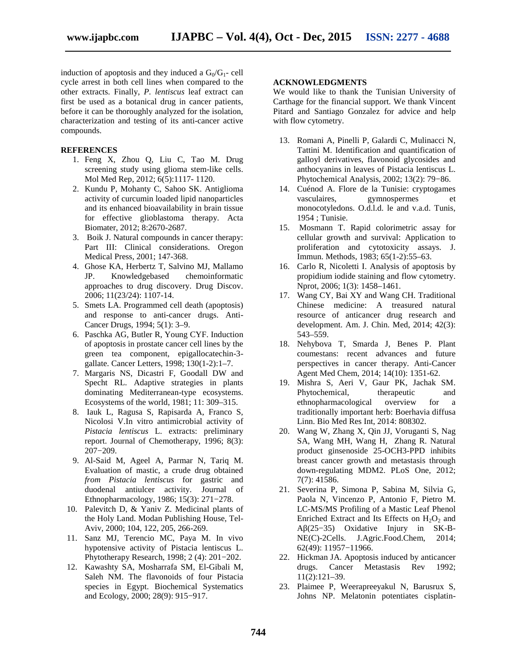induction of apoptosis and they induced a  $G_0/G_1$ - cell cycle arrest in both cell lines when compared to the other extracts. Finally, *P. lentiscus* leaf extract can first be used as a botanical drug in cancer patients, before it can be thoroughly analyzed for the isolation, characterization and testing of its anti-cancer active compounds.

#### **REFERENCES**

- 1. Feng X, Zhou Q, Liu C, Tao M. Drug screening study using glioma stem-like cells. Mol Med Rep, 2012; 6(5):1117- 1120.
- 2. Kundu P, Mohanty C, Sahoo SK. Antiglioma activity of curcumin loaded lipid nanoparticles and its enhanced bioavailability in brain tissue for effective glioblastoma therapy. Acta Biomater, 2012; 8:2670-2687.
- 3. Boik J. Natural compounds in cancer therapy: Part III: Clinical considerations. Oregon Medical Press, 2001; 147-368.
- 4. Ghose KA, Herbertz T, Salvino MJ, Mallamo JP. Knowledgebased chemoinformatic approaches to drug discovery. Drug Discov. 2006; 11(23/24): 1107-14.
- 5. Smets LA. Programmed cell death (apoptosis) and response to anti-cancer drugs. Anti- Cancer Drugs, 1994; 5(1): 3–9.
- 6. Paschka AG, Butler R, Young CYF. Induction of apoptosis in prostate cancer cell lines by the green tea component, epigallocatechin-3 gallate. Cancer Letters, 1998; 130(1-2):1–7.
- 7. Margaris NS, Dicastri F, Goodall DW and Specht RL. Adaptive strategies in plants dominating Mediterranean-type ecosystems. Ecosystems of the world, 1981; 11: 309–315.
- 8. Iauk L, Ragusa S, Rapisarda A, Franco S, Nicolosi V.In vitro antimicrobial activity of *Pistacia lentiscus* L. extracts: preliminary report. Journal of Chemotherapy, 1996; 8(3): 207−209.
- 9. Al-Said M, Ageel A, Parmar N, Tariq M. Evaluation of mastic, a crude drug obtained *from Pistacia lentiscus* for gastric and duodenal antiulcer activity. Journal of Ethnopharmacology, 1986; 15(3): 271−278.
- 10. Palevitch D, & Yaniv Z. Medicinal plants of the Holy Land. Modan Publishing House, Tel- Aviv, 2000; 104, 122, 205, 266-269.
- 11. Sanz MJ, Terencio MC, Paya M. In vivo hypotensive activity of Pistacia lentiscus L. Phytotherapy Research, 1998; 2 (4): 201−202.
- 12. Kawashty SA, Mosharrafa SM, El-Gibali M, Saleh NM. The flavonoids of four Pistacia species in Egypt. Biochemical Systematics and Ecology, 2000; 28(9): 915−917.

#### **ACKNOWLEDGMENTS**

We would like to thank the Tunisian University of Carthage for the financial support. We thank Vincent Pitard and Santiago Gonzalez for advice and help with flow cytometry.

- 13. Romani A, Pinelli P, Galardi C, Mulinacci N, Tattini M. Identification and quantification of galloyl derivatives, flavonoid glycosides and anthocyanins in leaves of Pistacia lentiscus L. Phytochemical Analysis, 2002; 13(2): 79−86.
- 14. Cuénod A. Flore de la Tunisie: cryptogames vasculaires, gymnospermes et monocotyledons. O.d.l.d. le and v.a.d. Tunis, 1954 ; Tunisie.
- 15. Mosmann T. Rapid colorimetric assay for cellular growth and survival: Application to proliferation and cytotoxicity assays. J. Immun. Methods, 1983; 65(1-2):55–63.
- 16. Carlo R, Nicoletti I. Analysis of apoptosis by propidium iodide staining and flow cytometry. Nprot, 2006; 1(3): 1458–1461.
- 17. Wang CY, Bai XY and Wang CH. Traditional Chinese medicine: A treasured natural resource of anticancer drug research and development. Am. J. Chin. Med, 2014; 42(3): 543–559.
- 18. Nehybova T, Smarda J, Benes P. Plant coumestans: recent advances and future perspectives in cancer therapy. Anti-Cancer Agent Med Chem, 2014; 14(10): 1351-62.
- 19. Mishra S, Aeri V, Gaur PK, Jachak SM. Phytochemical, therapeutic and ethnopharmacological overview for a traditionally important herb: Boerhavia diffusa Linn. Bio Med Res Int, 2014: 808302.
- 20. Wang W, Zhang X, Qin JJ, Voruganti S, Nag SA, Wang MH, Wang H, Zhang R. Natural product ginsenoside 25-OCH3-PPD inhibits breast cancer growth and metastasis through down-regulating MDM2. PLoS One, 2012; 7(7): 41586.
- 21. Severina P, Simona P, Sabina M, Silvia G, Paola N, Vincenzo P, Antonio F, Pietro M. LC-MS/MS Profiling of a Mastic Leaf Phenol Enriched Extract and Its Effects on  $H_2O_2$  and Aβ(25−35) Oxidative Injury in SK-B- NE(C)-2Cells. J.Agric.Food.Chem, 2014; 62(49): 11957−11966.
- 22. Hickman JA. Apoptosis induced by anticancer drugs. Cancer Metastasis Rev 1992; 11(2):121–39.
- 23. Plaimee P, Weerapreeyakul N, Barusrux S, Johns NP. Melatonin potentiates cisplatin-